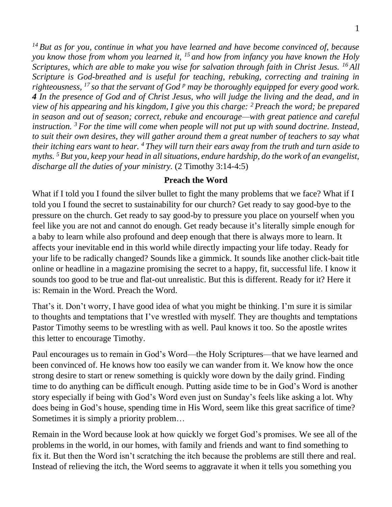*<sup>14</sup> But as for you, continue in what you have learned and have become convinced of, because you know those from whom you learned it, <sup>15</sup> and how from infancy you have known the Holy Scriptures, which are able to make you wise for salvation through faith in Christ Jesus. <sup>16</sup> All Scripture is God-breathed and is useful for teaching, rebuking, correcting and training in righteousness, <sup>17</sup> so that the servant of God <sup>p</sup> may be thoroughly equipped for every good work. 4 In the presence of God and of Christ Jesus, who will judge the living and the dead, and in view of his appearing and his kingdom, I give you this charge: <sup>2</sup> Preach the word; be prepared in season and out of season; correct, rebuke and encourage—with great patience and careful instruction. <sup>3</sup> For the time will come when people will not put up with sound doctrine. Instead, to suit their own desires, they will gather around them a great number of teachers to say what their itching ears want to hear. <sup>4</sup> They will turn their ears away from the truth and turn aside to myths. <sup>5</sup> But you, keep your head in all situations, endure hardship, do the work of an evangelist, discharge all the duties of your ministry.* (2 Timothy 3:14-4:5)

## **Preach the Word**

What if I told you I found the silver bullet to fight the many problems that we face? What if I told you I found the secret to sustainability for our church? Get ready to say good-bye to the pressure on the church. Get ready to say good-by to pressure you place on yourself when you feel like you are not and cannot do enough. Get ready because it's literally simple enough for a baby to learn while also profound and deep enough that there is always more to learn. It affects your inevitable end in this world while directly impacting your life today. Ready for your life to be radically changed? Sounds like a gimmick. It sounds like another click-bait title online or headline in a magazine promising the secret to a happy, fit, successful life. I know it sounds too good to be true and flat-out unrealistic. But this is different. Ready for it? Here it is: Remain in the Word. Preach the Word.

That's it. Don't worry, I have good idea of what you might be thinking. I'm sure it is similar to thoughts and temptations that I've wrestled with myself. They are thoughts and temptations Pastor Timothy seems to be wrestling with as well. Paul knows it too. So the apostle writes this letter to encourage Timothy.

Paul encourages us to remain in God's Word—the Holy Scriptures—that we have learned and been convinced of. He knows how too easily we can wander from it. We know how the once strong desire to start or renew something is quickly wore down by the daily grind. Finding time to do anything can be difficult enough. Putting aside time to be in God's Word is another story especially if being with God's Word even just on Sunday's feels like asking a lot. Why does being in God's house, spending time in His Word, seem like this great sacrifice of time? Sometimes it is simply a priority problem…

Remain in the Word because look at how quickly we forget God's promises. We see all of the problems in the world, in our homes, with family and friends and want to find something to fix it. But then the Word isn't scratching the itch because the problems are still there and real. Instead of relieving the itch, the Word seems to aggravate it when it tells you something you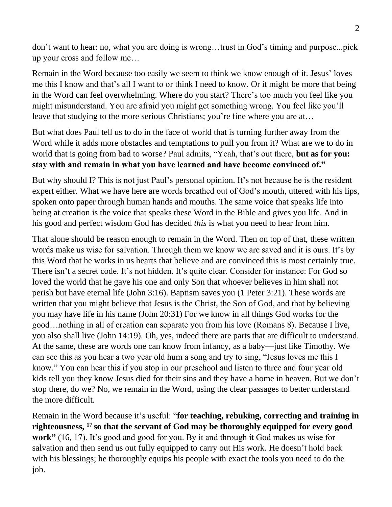don't want to hear: no, what you are doing is wrong…trust in God's timing and purpose...pick up your cross and follow me…

Remain in the Word because too easily we seem to think we know enough of it. Jesus' loves me this I know and that's all I want to or think I need to know. Or it might be more that being in the Word can feel overwhelming. Where do you start? There's too much you feel like you might misunderstand. You are afraid you might get something wrong. You feel like you'll leave that studying to the more serious Christians; you're fine where you are at…

But what does Paul tell us to do in the face of world that is turning further away from the Word while it adds more obstacles and temptations to pull you from it? What are we to do in world that is going from bad to worse? Paul admits, "Yeah, that's out there, **but as for you: stay with and remain in what you have learned and have become convinced of."** 

But why should I? This is not just Paul's personal opinion. It's not because he is the resident expert either. What we have here are words breathed out of God's mouth, uttered with his lips, spoken onto paper through human hands and mouths. The same voice that speaks life into being at creation is the voice that speaks these Word in the Bible and gives you life. And in his good and perfect wisdom God has decided *this* is what you need to hear from him.

That alone should be reason enough to remain in the Word. Then on top of that, these written words make us wise for salvation. Through them we know we are saved and it is ours. It's by this Word that he works in us hearts that believe and are convinced this is most certainly true. There isn't a secret code. It's not hidden. It's quite clear. Consider for instance: For God so loved the world that he gave his one and only Son that whoever believes in him shall not perish but have eternal life (John 3:16). Baptism saves you (1 Peter 3:21). These words are written that you might believe that Jesus is the Christ, the Son of God, and that by believing you may have life in his name (John 20:31) For we know in all things God works for the good…nothing in all of creation can separate you from his love (Romans 8). Because I live, you also shall live (John 14:19). Oh, yes, indeed there are parts that are difficult to understand. At the same, these are words one can know from infancy, as a baby—just like Timothy. We can see this as you hear a two year old hum a song and try to sing, "Jesus loves me this I know." You can hear this if you stop in our preschool and listen to three and four year old kids tell you they know Jesus died for their sins and they have a home in heaven. But we don't stop there, do we? No, we remain in the Word, using the clear passages to better understand the more difficult.

Remain in the Word because it's useful: "**for teaching, rebuking, correcting and training in righteousness, <sup>17</sup> so that the servant of God may be thoroughly equipped for every good work"** (16, 17). It's good and good for you. By it and through it God makes us wise for salvation and then send us out fully equipped to carry out His work. He doesn't hold back with his blessings; he thoroughly equips his people with exact the tools you need to do the job.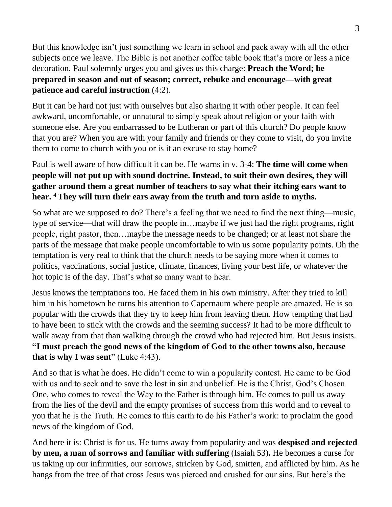But this knowledge isn't just something we learn in school and pack away with all the other subjects once we leave. The Bible is not another coffee table book that's more or less a nice decoration. Paul solemnly urges you and gives us this charge: **Preach the Word; be prepared in season and out of season; correct, rebuke and encourage—with great patience and careful instruction** (4:2).

But it can be hard not just with ourselves but also sharing it with other people. It can feel awkward, uncomfortable, or unnatural to simply speak about religion or your faith with someone else. Are you embarrassed to be Lutheran or part of this church? Do people know that you are? When you are with your family and friends or they come to visit, do you invite them to come to church with you or is it an excuse to stay home?

## Paul is well aware of how difficult it can be. He warns in v. 3-4: **The time will come when people will not put up with sound doctrine. Instead, to suit their own desires, they will gather around them a great number of teachers to say what their itching ears want to hear. <sup>4</sup> They will turn their ears away from the truth and turn aside to myths.**

So what are we supposed to do? There's a feeling that we need to find the next thing—music, type of service—that will draw the people in…maybe if we just had the right programs, right people, right pastor, then…maybe the message needs to be changed; or at least not share the parts of the message that make people uncomfortable to win us some popularity points. Oh the temptation is very real to think that the church needs to be saying more when it comes to politics, vaccinations, social justice, climate, finances, living your best life, or whatever the hot topic is of the day. That's what so many want to hear.

Jesus knows the temptations too. He faced them in his own ministry. After they tried to kill him in his hometown he turns his attention to Capernaum where people are amazed. He is so popular with the crowds that they try to keep him from leaving them. How tempting that had to have been to stick with the crowds and the seeming success? It had to be more difficult to walk away from that than walking through the crowd who had rejected him. But Jesus insists. **"I must preach the good news of the kingdom of God to the other towns also, because that is why I was sent**" (Luke 4:43).

And so that is what he does. He didn't come to win a popularity contest. He came to be God with us and to seek and to save the lost in sin and unbelief. He is the Christ, God's Chosen One, who comes to reveal the Way to the Father is through him. He comes to pull us away from the lies of the devil and the empty promises of success from this world and to reveal to you that he is the Truth. He comes to this earth to do his Father's work: to proclaim the good news of the kingdom of God.

And here it is: Christ is for us. He turns away from popularity and was **despised and rejected by men, a man of sorrows and familiar with suffering** (Isaiah 53)**.** He becomes a curse for us taking up our infirmities, our sorrows, stricken by God, smitten, and afflicted by him. As he hangs from the tree of that cross Jesus was pierced and crushed for our sins. But here's the